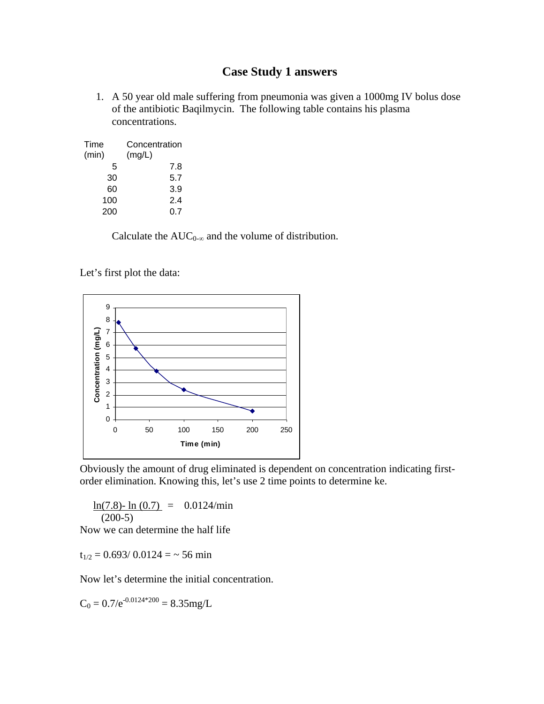## **Case Study 1 answers**

1. A 50 year old male suffering from pneumonia was given a 1000mg IV bolus dose of the antibiotic Baqilmycin. The following table contains his plasma concentrations.

| Time<br>(min) | Concentration<br>(mg/L) |
|---------------|-------------------------|
| 5             | 7.8                     |
| 30            | 5.7                     |
| 60            | 3.9                     |
| 100           | 2.4                     |
| 200           | 0.7                     |

Calculate the  $AUC_{0-\infty}$  and the volume of distribution.

Let's first plot the data:



Obviously the amount of drug eliminated is dependent on concentration indicating firstorder elimination. Knowing this, let's use 2 time points to determine ke.

 $ln(7.8)$ -  $ln(0.7) = 0.0124/min$  $(200-5)$ 

Now we can determine the half life

 $t_{1/2} = 0.693/0.0124 = -56$  min

Now let's determine the initial concentration.

 $C_0 = 0.7/e^{-0.0124*200} = 8.35mg/L$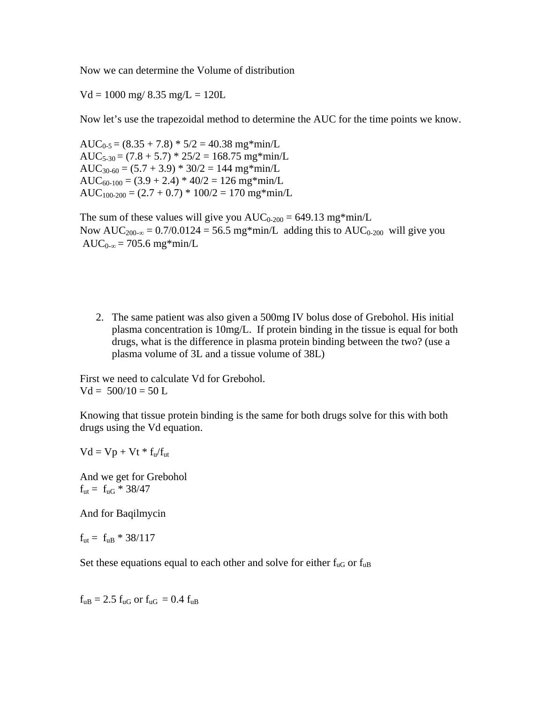Now we can determine the Volume of distribution

 $Vd = 1000$  mg/ 8.35 mg/L = 120L

Now let's use the trapezoidal method to determine the AUC for the time points we know.

 $AUC_{0.5} = (8.35 + 7.8) * 5/2 = 40.38$  mg\*min/L  $AUC_{5-30} = (7.8 + 5.7) * 25/2 = 168.75$  mg\*min/L  $AUC_{30-60} = (5.7 + 3.9) * 30/2 = 144$  mg\*min/L  $AUC_{60-100} = (3.9 + 2.4) * 40/2 = 126$  mg\*min/L  $AUC_{100-200} = (2.7 + 0.7) * 100/2 = 170$  mg\*min/L

The sum of these values will give you  $AUC_{0-200} = 649.13$  mg\*min/L Now  $AUC_{200-\infty} = 0.7/0.0124 = 56.5$  mg\*min/L adding this to  $AUC_{0-200}$  will give you AUC<sub>0-∞</sub> = 705.6 mg\*min/L

2. The same patient was also given a 500mg IV bolus dose of Grebohol. His initial plasma concentration is 10mg/L. If protein binding in the tissue is equal for both drugs, what is the difference in plasma protein binding between the two? (use a plasma volume of 3L and a tissue volume of 38L)

First we need to calculate Vd for Grebohol.  $Vd = 500/10 = 50 L$ 

Knowing that tissue protein binding is the same for both drugs solve for this with both drugs using the Vd equation.

 $Vd = Vp + Vt * f<sub>u</sub>/f<sub>ut</sub>$ 

And we get for Grebohol  $f_{ut} = f_{uG} * 38/47$ 

And for Baqilmycin

 $f_{ut} = f_{uB} * 38/117$ 

Set these equations equal to each other and solve for either  $f_{\text{uG}}$  or  $f_{\text{uB}}$ 

 $f_{\rm uB} = 2.5 f_{\rm uG}$  or  $f_{\rm uG} = 0.4 f_{\rm uB}$